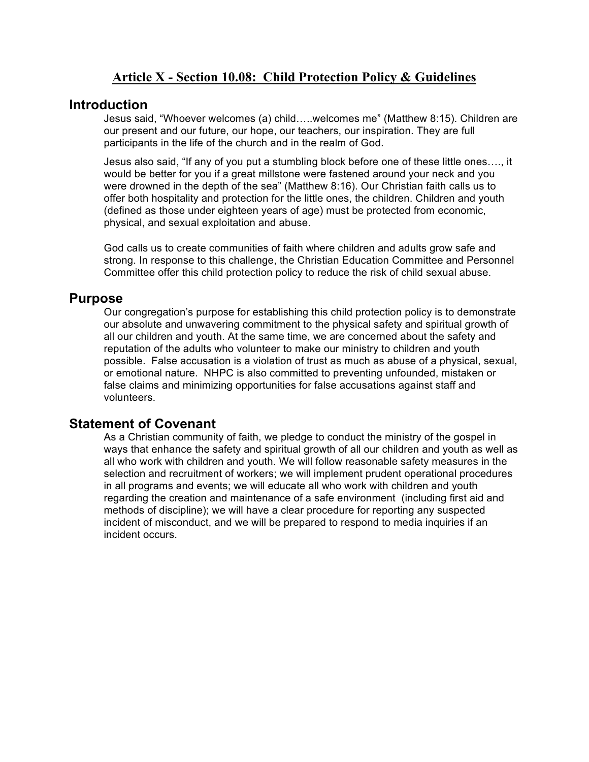### **Article X - Section 10.08: Child Protection Policy & Guidelines**

#### **Introduction**

Jesus said, "Whoever welcomes (a) child…..welcomes me" (Matthew 8:15). Children are our present and our future, our hope, our teachers, our inspiration. They are full participants in the life of the church and in the realm of God.

Jesus also said, "If any of you put a stumbling block before one of these little ones…., it would be better for you if a great millstone were fastened around your neck and you were drowned in the depth of the sea" (Matthew 8:16). Our Christian faith calls us to offer both hospitality and protection for the little ones, the children. Children and youth (defined as those under eighteen years of age) must be protected from economic, physical, and sexual exploitation and abuse.

God calls us to create communities of faith where children and adults grow safe and strong. In response to this challenge, the Christian Education Committee and Personnel Committee offer this child protection policy to reduce the risk of child sexual abuse.

#### **Purpose**

Our congregation's purpose for establishing this child protection policy is to demonstrate our absolute and unwavering commitment to the physical safety and spiritual growth of all our children and youth. At the same time, we are concerned about the safety and reputation of the adults who volunteer to make our ministry to children and youth possible. False accusation is a violation of trust as much as abuse of a physical, sexual, or emotional nature. NHPC is also committed to preventing unfounded, mistaken or false claims and minimizing opportunities for false accusations against staff and volunteers.

## **Statement of Covenant**

As a Christian community of faith, we pledge to conduct the ministry of the gospel in ways that enhance the safety and spiritual growth of all our children and youth as well as all who work with children and youth. We will follow reasonable safety measures in the selection and recruitment of workers; we will implement prudent operational procedures in all programs and events; we will educate all who work with children and youth regarding the creation and maintenance of a safe environment (including first aid and methods of discipline); we will have a clear procedure for reporting any suspected incident of misconduct, and we will be prepared to respond to media inquiries if an incident occurs.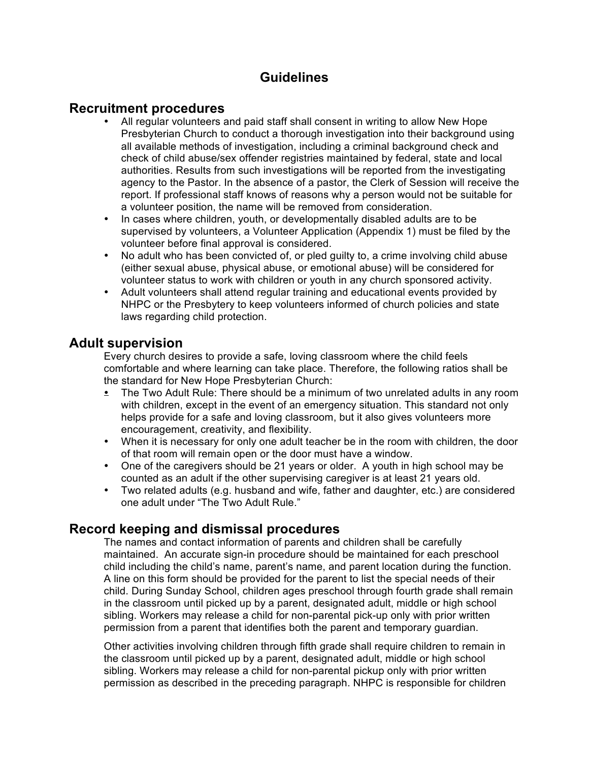# **Guidelines**

### **Recruitment procedures**

- All regular volunteers and paid staff shall consent in writing to allow New Hope Presbyterian Church to conduct a thorough investigation into their background using all available methods of investigation, including a criminal background check and check of child abuse/sex offender registries maintained by federal, state and local authorities. Results from such investigations will be reported from the investigating agency to the Pastor. In the absence of a pastor, the Clerk of Session will receive the report. If professional staff knows of reasons why a person would not be suitable for a volunteer position, the name will be removed from consideration.
- In cases where children, youth, or developmentally disabled adults are to be supervised by volunteers, a Volunteer Application (Appendix 1) must be filed by the volunteer before final approval is considered.
- No adult who has been convicted of, or pled guilty to, a crime involving child abuse (either sexual abuse, physical abuse, or emotional abuse) will be considered for volunteer status to work with children or youth in any church sponsored activity.
- Adult volunteers shall attend regular training and educational events provided by NHPC or the Presbytery to keep volunteers informed of church policies and state laws regarding child protection.

## **Adult supervision**

Every church desires to provide a safe, loving classroom where the child feels comfortable and where learning can take place. Therefore, the following ratios shall be the standard for New Hope Presbyterian Church:

- The Two Adult Rule: There should be a minimum of two unrelated adults in any room with children, except in the event of an emergency situation. This standard not only helps provide for a safe and loving classroom, but it also gives volunteers more encouragement, creativity, and flexibility.
- When it is necessary for only one adult teacher be in the room with children, the door of that room will remain open or the door must have a window.
- One of the caregivers should be 21 years or older. A youth in high school may be counted as an adult if the other supervising caregiver is at least 21 years old.
- Two related adults (e.g. husband and wife, father and daughter, etc.) are considered one adult under "The Two Adult Rule."

# **Record keeping and dismissal procedures**

The names and contact information of parents and children shall be carefully maintained. An accurate sign-in procedure should be maintained for each preschool child including the child's name, parent's name, and parent location during the function. A line on this form should be provided for the parent to list the special needs of their child. During Sunday School, children ages preschool through fourth grade shall remain in the classroom until picked up by a parent, designated adult, middle or high school sibling. Workers may release a child for non-parental pick-up only with prior written permission from a parent that identifies both the parent and temporary guardian.

Other activities involving children through fifth grade shall require children to remain in the classroom until picked up by a parent, designated adult, middle or high school sibling. Workers may release a child for non-parental pickup only with prior written permission as described in the preceding paragraph. NHPC is responsible for children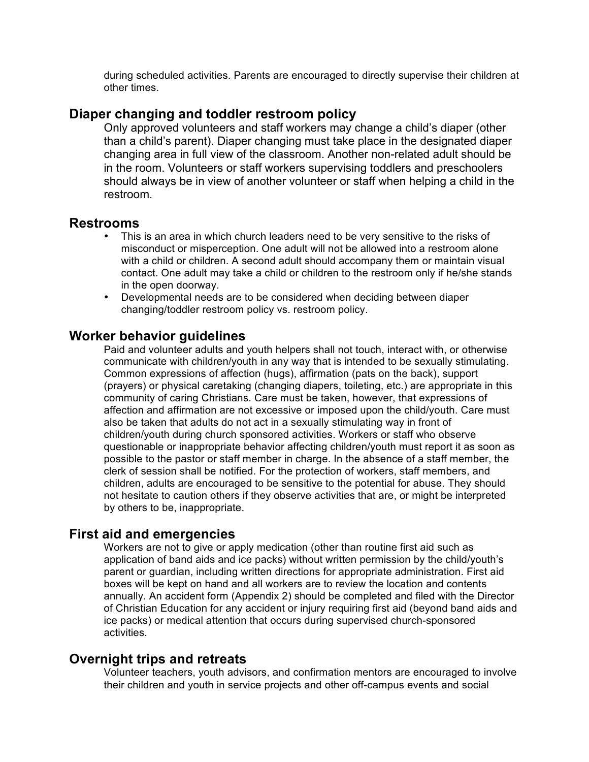during scheduled activities. Parents are encouraged to directly supervise their children at other times.

#### **Diaper changing and toddler restroom policy**

Only approved volunteers and staff workers may change a child's diaper (other than a child's parent). Diaper changing must take place in the designated diaper changing area in full view of the classroom. Another non-related adult should be in the room. Volunteers or staff workers supervising toddlers and preschoolers should always be in view of another volunteer or staff when helping a child in the restroom.

#### **Restrooms**

- This is an area in which church leaders need to be very sensitive to the risks of misconduct or misperception. One adult will not be allowed into a restroom alone with a child or children. A second adult should accompany them or maintain visual contact. One adult may take a child or children to the restroom only if he/she stands in the open doorway.
- Developmental needs are to be considered when deciding between diaper changing/toddler restroom policy vs. restroom policy.

### **Worker behavior guidelines**

Paid and volunteer adults and youth helpers shall not touch, interact with, or otherwise communicate with children/youth in any way that is intended to be sexually stimulating. Common expressions of affection (hugs), affirmation (pats on the back), support (prayers) or physical caretaking (changing diapers, toileting, etc.) are appropriate in this community of caring Christians. Care must be taken, however, that expressions of affection and affirmation are not excessive or imposed upon the child/youth. Care must also be taken that adults do not act in a sexually stimulating way in front of children/youth during church sponsored activities. Workers or staff who observe questionable or inappropriate behavior affecting children/youth must report it as soon as possible to the pastor or staff member in charge. In the absence of a staff member, the clerk of session shall be notified. For the protection of workers, staff members, and children, adults are encouraged to be sensitive to the potential for abuse. They should not hesitate to caution others if they observe activities that are, or might be interpreted by others to be, inappropriate.

### **First aid and emergencies**

Workers are not to give or apply medication (other than routine first aid such as application of band aids and ice packs) without written permission by the child/youth's parent or guardian, including written directions for appropriate administration. First aid boxes will be kept on hand and all workers are to review the location and contents annually. An accident form (Appendix 2) should be completed and filed with the Director of Christian Education for any accident or injury requiring first aid (beyond band aids and ice packs) or medical attention that occurs during supervised church-sponsored activities.

#### **Overnight trips and retreats**

Volunteer teachers, youth advisors, and confirmation mentors are encouraged to involve their children and youth in service projects and other off-campus events and social